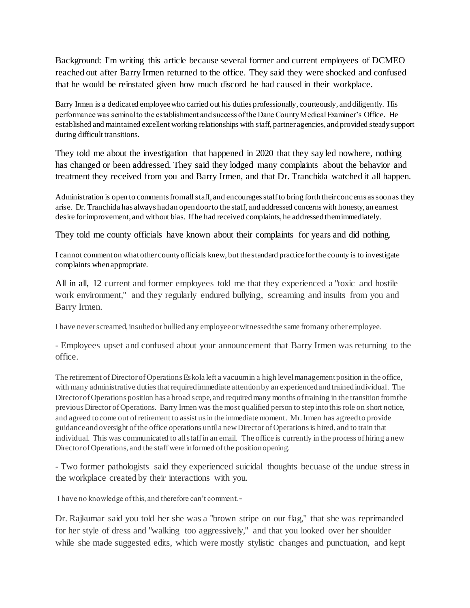Background: I'm writing this article because several former and current employees of DCMEO reached out after Barry Irmen returned to the office. They said they were shocked and confused that he would be reinstated given how much discord he had caused in their workplace.

Barry Irmen is a dedicated employee who carried out his duties professionally, courteously, and diligently. His performance was seminal to the establishment and success of the Dane County Medical Examiner's Office. He established and maintained excellent working relationships with staff, partner agencies, and provided steady support during difficult transitions.

They told me about the investigation that happened in 2020 that they say led nowhere, nothing has changed or been addressed. They said they lodged many complaints about the behavior and treatment they received from you and Barry Irmen, and that Dr. Tranchida watched it all happen.

Administration is open to comments from all staff, and encourages staff to bring forth their concerns as soon as they arise. Dr. Tranchida has always had an open door to the staff, and addressed concerns with honesty, an earnest desire for improvement, and without bias. If he had received complaints, he addressed them immediately.

They told me county officials have known about their complaints for years and did nothing.

I cannot comment on what other county officials knew, but the standard practice for the county is to investigate complaints when appropriate.

All in all, 12 current and former employees told me that they experienced a "toxic and hostile" work environment," and they regularly endured bullying, screaming and insults from you and Barry Irmen.

I have never screamed, insulted or bullied any employee or witnessed the same from any other employee.

- Employees upset and confused about your announcement that Barry Irmen was returning to the office.

The retirement of Director of Operations Eskola left a vacuum in a high level management position in the office, with many administrative duties that required immediate attention by an experienced and trained individual. The Director of Operations position has a broad scope, and required many months of training in the transition from the previous Director of Operations. Barry Irmen was the most qualified person to step into this role on short notice, and agreed to come out of retirement to assist us in the immediate moment. Mr. Irmen has agreed to provide guidance and oversight of the office operations until a new Director of Operations is hired, and to train that individual. This was communicated to all staff in an email. The office is currently in the process of hiring a new Director of Operations, and the staff were informed of the position opening.

- Two former pathologists said they experienced suicidal thoughts becuase of the undue stress in the workplace created by their interactions with you.

I have no knowledge of this, and therefore can't comment.-

Dr. Rajkumar said you told her she was a "brown stripe on our flag," that she was reprimanded for her style of dress and "walking too aggressively," and that you looked over her shoulder while she made suggested edits, which were mostly stylistic changes and punctuation, and kept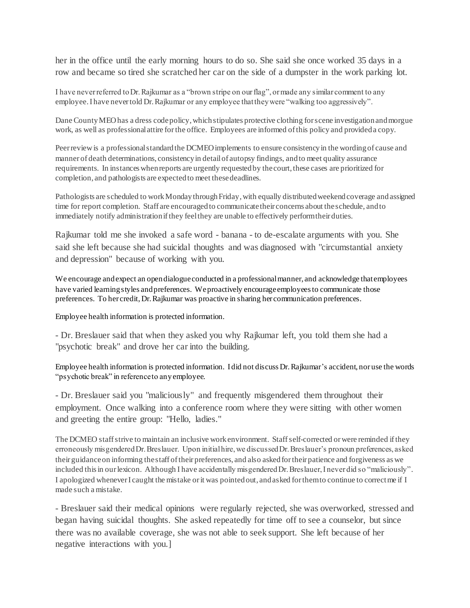her in the office until the early morning hours to do so. She said she once worked 35 days in a row and became so tired she scratched her car on the side of a dumpster in the work parking lot.

I have never referred to Dr. Rajkumar as a "brown stripe on our flag", or made any similar comment to any employee. I have never told Dr. Rajkumar or any employee that they were "walking too aggressively".

Dane County MEO has a dress code policy, which stipulates protective clothing for scene investigation and morgue work, as well as professional attire for the office. Employees are informed of this policy and provided a copy.

Peer reviewis a professional standard the DCMEO implements to ensure consistency in the wording of cause and manner of death determinations, consistency in detail of autopsy findings, and to meet quality assurance requirements. In instances when reports are urgently requested by the court, these cases are prioritized for completion, and pathologists are expected to meet these deadlines.

Pathologists are scheduled to work Monday through Friday, with equally distributed weekend coverage and assigned time for report completion. Staff are encouraged to communicate their concerns about the schedule, and to immediately notify administration if they feel they are unable to effectively perform their duties.

Rajkumar told me she invoked a safe word - banana - to de-escalate arguments with you. She said she left because she had suicidal thoughts and was diagnosed with "circumstantial anxiety and depression" because of working with you.

We encourage and expect an open dialogue conducted in a professional manner, and acknowledge that employees have varied learning styles and preferences. We proactively encourage employees to communicate those preferences. To her credit, Dr. Rajkumar was proactive in sharing her communication preferences.

Employee health information is protected information.

- Dr. Breslauer said that when they asked you why Rajkumar left, you told them she had a "psychotic break" and drove her car into the building.

Employee health information is protected information. I did not discuss Dr. Rajkumar's accident, nor use the words "psychotic break" in reference to anyemployee.

- Dr. Breslauer said you "maliciously" and frequently misgendered them throughout their employment. Once walking into a conference room where they were sitting with other women and greeting the entire group: "Hello, ladies."

The DCMEO staff strive to maintain an inclusive work environment. Staff self-corrected or were reminded ifthey erroneously misgendered Dr. Breslauer. Upon initial hire, we discussed Dr. Breslauer's pronoun preferences, asked their guidance on informing the staff of their preferences, and also asked for their patience and forgiveness as we included this in our lexicon. Although I have accidentally misgendered Dr. Breslauer, I never did so "maliciously". I apologized whenever I caught the mistake or it was pointed out, and asked for them to continue to correctme if I made such a mistake.

- Breslauer said their medical opinions were regularly rejected, she was overworked, stressed and began having suicidal thoughts. She asked repeatedly for time off to see a counselor, but since there was no available coverage, she was not able to seek support. She left because of her negative interactions with you.]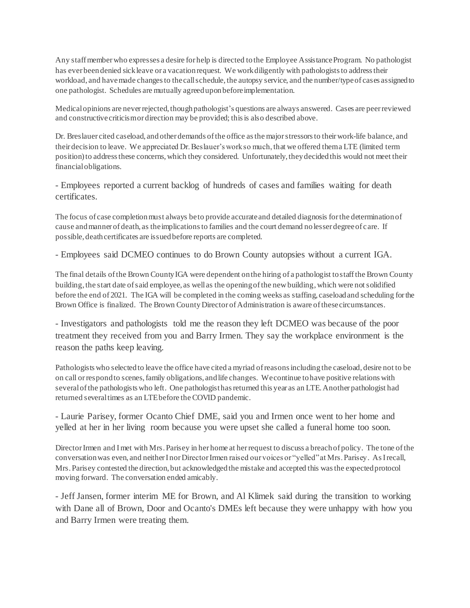Any staff member who expresses a desire for help is directed to the Employee Assistance Program. No pathologist has ever been denied sick leave or a vacation request. We work diligently with pathologists to address their workload, and have made changes to the call schedule, the autopsy service, and the number/type of cases assigned to one pathologist. Schedules are mutually agreed upon before implementation.

Medical opinions are never rejected, though pathologist's questions are always answered. Cases are peer reviewed and constructivecriticismor direction may be provided; this is also described above.

Dr. Breslauer cited caseload, and other demands of the office as the major stressors to their work-life balance, and their decision to leave. We appreciated Dr. Beslauer's work so much, that we offered thema LTE (limited term position) to address these concerns, which they considered. Unfortunately, they decided this would not meet their financial obligations.

- Employees reported a current backlog of hundreds of cases and families waiting for death certificates.

The focus of case completion must always be to provide accurate and detailed diagnosis for the determination of cause and manner of death, as the implications to families and the court demand no lesser degree of care. If possible, death certificates are issued before reports are completed.

- Employees said DCMEO continues to do Brown County autopsies without a current IGA.

The final details of the Brown County IGA were dependent on the hiring of a pathologist to staff the Brown County building, the start date of said employee, as well as the opening of the new building, which were not solidified before the end of 2021. The IGA will be completed in the coming weeks as staffing, caseload and scheduling for the Brown Office is finalized. The Brown County Director of Administration is aware of these circumstances.

- Investigators and pathologists told me the reason they left DCMEO was because of the poor treatment they received from you and Barry Irmen. They say the workplace environment is the reason the paths keep leaving.

Pathologists who selected to leave the office have cited a myriad of reasons including the caseload, desire not to be on call or respond to scenes, family obligations, and life changes. We continue to have positive relations with several of the pathologists who left. One pathologist has returned this year as an LTE.Another pathologist had returned several times as an LTEbefore the COVID pandemic.

- Laurie Parisey, former Ocanto Chief DME, said you and Irmen once went to her home and yelled at her in her living room because you were upset she called a funeral home too soon.

Director Irmen and I met with Mrs. Parisey in her home at her request to discuss a breach of policy. The tone of the conversation was even, and neither I nor Director Irmen raised our voices or "yelled" at Mrs. Parisey. As I recall, Mrs. Parisey contested the direction, but acknowledged the mistake and accepted this was the expected protocol moving forward. The conversation ended amicably.

- Jeff Jansen, former interim ME for Brown, and Al Klimek said during the transition to working with Dane all of Brown, Door and Ocanto's DMEs left because they were unhappy with how you and Barry Irmen were treating them.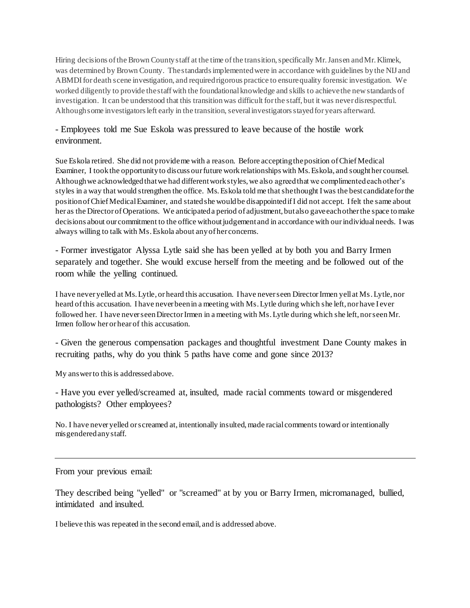Hiring decisions of the Brown County staff at the time of the transition, specifically Mr. Jansen and Mr. Klimek, was determined by Brown County. The standards implemented were in accordance with guidelines by the NIJ and ABMDI for death scene investigation, and required rigorous practice to ensure quality forensic investigation. We worked diligently to provide the staff with the foundational knowledge and skills to achieve the new standards of investigation. It can be understood that this transition was difficult for the staff, but it was never disrespectful. Although some investigators left early in the transition, several investigators stayed for years afterward.

## - Employees told me Sue Eskola was pressured to leave because of the hostile work environment.

Sue Eskola retired. She did not provide me with a reason. Before accepting the position of Chief Medical Examiner, I took the opportunity to discuss our future work relationships with Ms. Eskola, and sought her counsel. Although we acknowledged that we had different work styles, we also agreed that we complimented each other's styles in a way that would strengthen the office. Ms. Eskola told me that she thought I was the best candidate for the position of Chief Medical Examiner, and stated she would be disappointed if I did not accept. I felt the same about her as the Director of Operations. We anticipated a period of adjustment, but also gave each other the space to make decisions about our commitment to the office without judgement and in accordance with our individual needs. I was always willing to talk with Ms. Eskola about any of her concerns.

- Former investigator Alyssa Lytle said she has been yelled at by both you and Barry Irmen separately and together. She would excuse herself from the meeting and be followed out of the room while the yelling continued.

I have never yelled at Ms. Lytle, or heard this accusation. I have never seen Director Irmen yell at Ms.Lytle, nor heard of this accusation. I have never been in a meeting with Ms. Lytle during which she left, nor have I ever followed her. I have never seen Director Irmen in a meeting with Ms. Lytle during which she left, nor seenMr. Irmen follow her or hear of this accusation.

- Given the generous compensation packages and thoughtful investment Dane County makes in recruiting paths, why do you think 5 paths have come and gone since 2013?

My answer to this is addressed above.

- Have you ever yelled/screamed at, insulted, made racial comments toward or misgendered pathologists? Other employees?

No. I have never yelled or screamed at, intentionally insulted, made racial comments toward or intentionally misgendered any staff.

From your previous email:

They described being "yelled" or "screamed" at by you or Barry Irmen, micromanaged, bullied, intimidated and insulted.

I believe this was repeated in the second email, and is addressed above.